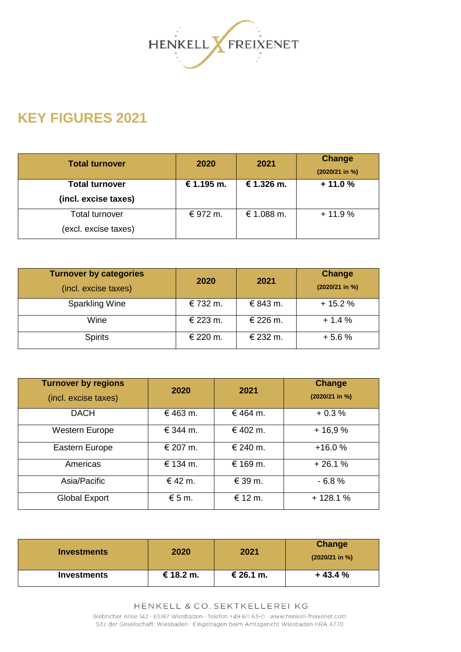

## **KEY FIGURES 2021**

| <b>Total turnover</b> | 2020       | 2021       | <b>Change</b><br>(2020/21 in %) |
|-----------------------|------------|------------|---------------------------------|
| <b>Total turnover</b> | € 1.195 m. | € 1.326 m. | $+11.0%$                        |
| (incl. excise taxes)  |            |            |                                 |
| Total turnover        | € 972 m.   | € 1.088 m. | $+11.9%$                        |
| (excl. excise taxes)  |            |            |                                 |

| <b>Turnover by categories</b><br>(incl. excise taxes) | 2020     | 2021     | Change<br>(2020/21 in %) |
|-------------------------------------------------------|----------|----------|--------------------------|
| Sparkling Wine                                        | € 732 m. | € 843 m. | $+15.2%$                 |
| Wine                                                  | € 223 m. | € 226 m. | $+1.4%$                  |
| <b>Spirits</b>                                        | € 220 m. | € 232 m. | $+5.6%$                  |

| <b>Turnover by regions</b><br>(incl. excise taxes) | 2020            | 2021        | Change<br>$(2020/21$ in %) |
|----------------------------------------------------|-----------------|-------------|----------------------------|
| <b>DACH</b>                                        | € 463 m.        | € 464 m.    | $+0.3%$                    |
| <b>Western Europe</b>                              | € 344 m.        | € 402 m.    | $+16,9%$                   |
| Eastern Europe                                     | € 207 m.        | € 240 m.    | $+16.0%$                   |
| Americas                                           | € 134 m.        | € 169 m.    | $+26.1%$                   |
| Asia/Pacific                                       | € 42 m.         | $\in$ 39 m. | $-6.8%$                    |
| <b>Global Export</b>                               | $\epsilon$ 5 m. | € 12 m.     | $+128.1%$                  |

| <b>Investments</b> | 2020      | 2021      | Change<br>$(2020/21$ in %) |
|--------------------|-----------|-----------|----------------------------|
| <b>Investments</b> | € 18.2 m. | € 26.1 m. | $+43.4%$                   |

HENKELL & CO. SEKTKELLEREI KG Biebricher Allee 142 · 65187 Wiesbaden · Telefon +49 611 63-0 · www.henkell-freixenet.com Sitz der Gesellschaft: Wiesbaden · Eingetragen beim Amtsgericht Wiesbaden HRA 4770